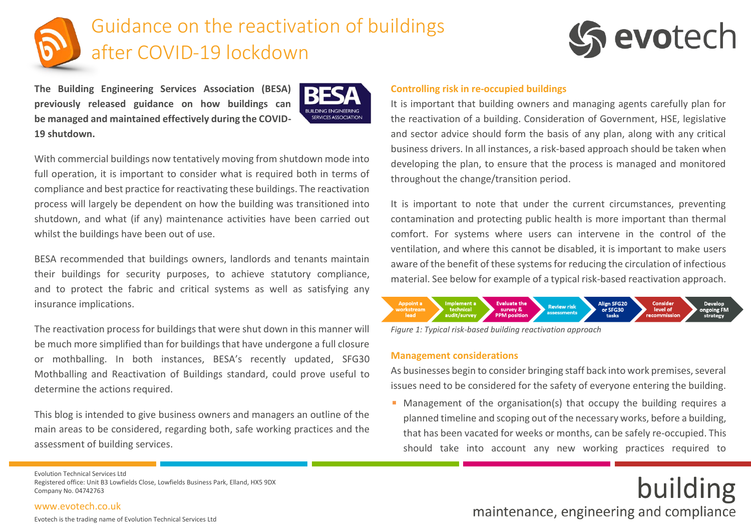

# Guidance on the reactivation of buildings after COVID-19 lockdown



**The Building Engineering Services Association (BESA) previously released guidance on how buildings can be managed and maintained effectively during the COVID-19 shutdown.** 



With commercial buildings now tentatively moving from shutdown mode into full operation, it is important to consider what is required both in terms of compliance and best practice for reactivating these buildings. The reactivation process will largely be dependent on how the building was transitioned into shutdown, and what (if any) maintenance activities have been carried out whilst the buildings have been out of use.

BESA recommended that buildings owners, landlords and tenants maintain their buildings for security purposes, to achieve statutory compliance, and to protect the fabric and critical systems as well as satisfying any insurance implications.

The reactivation process for buildings that were shut down in this manner will be much more simplified than for buildings that have undergone a full closure or mothballing. In both instances, BESA's recently updated, SFG30 Mothballing and Reactivation of Buildings standard, could prove useful to determine the actions required.

This blog is intended to give business owners and managers an outline of the main areas to be considered, regarding both, safe working practices and the assessment of building services.

## **Controlling risk in re-occupied buildings**

It is important that building owners and managing agents carefully plan for the reactivation of a building. Consideration of Government, HSE, legislative and sector advice should form the basis of any plan, along with any critical business drivers. In all instances, a risk-based approach should be taken when developing the plan, to ensure that the process is managed and monitored throughout the change/transition period.

It is important to note that under the current circumstances, preventing contamination and protecting public health is more important than thermal comfort. For systems where users can intervene in the control of the ventilation, and where this cannot be disabled, it is important to make users aware of the benefit of these systems for reducing the circulation of infectious material. See below for example of a typical risk-based reactivation approach.



*Figure 1: Typical risk-based building reactivation approach*

### **Management considerations**

As businesses begin to consider bringing staff back into work premises, several issues need to be considered for the safety of everyone entering the building.

■ Management of the organisation(s) that occupy the building requires a planned timeline and scoping out of the necessary works, before a building, that has been vacated for weeks or months, can be safely re-occupied. This should take into account any new working practices required to

# building maintenance, engineering and compliance

Evolution Technical Services Ltd Registered office: Unit B3 Lowfields Close, Lowfields Business Park, Elland, HX5 9DX Company No. 04742763

#### [www.evotech.co.uk](http://www.evotech.co.uk/)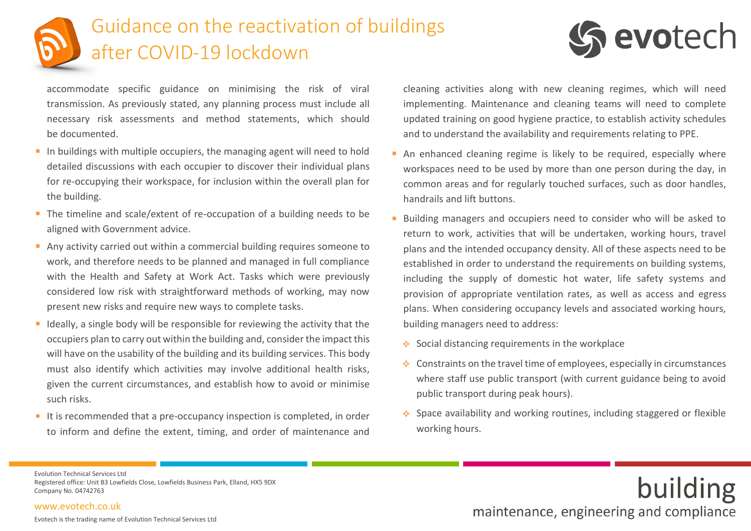



accommodate specific guidance on minimising the risk of viral transmission. As previously stated, any planning process must include all necessary risk assessments and method statements, which should be documented.

- **I** In buildings with multiple occupiers, the managing agent will need to hold detailed discussions with each occupier to discover their individual plans for re-occupying their workspace, for inclusion within the overall plan for the building.
- The timeline and scale/extent of re-occupation of a building needs to be aligned with Government advice.
- Any activity carried out within a commercial building requires someone to work, and therefore needs to be planned and managed in full compliance with the Health and Safety at Work Act. Tasks which were previously considered low risk with straightforward methods of working, may now present new risks and require new ways to complete tasks.
- Ideally, a single body will be responsible for reviewing the activity that the occupiers plan to carry out within the building and, consider the impact this will have on the usability of the building and its building services. This body must also identify which activities may involve additional health risks, given the current circumstances, and establish how to avoid or minimise such risks.
- It is recommended that a pre-occupancy inspection is completed, in order to inform and define the extent, timing, and order of maintenance and

cleaning activities along with new cleaning regimes, which will need implementing. Maintenance and cleaning teams will need to complete updated training on good hygiene practice, to establish activity schedules and to understand the availability and requirements relating to PPE.

- An enhanced cleaning regime is likely to be required, especially where workspaces need to be used by more than one person during the day, in common areas and for regularly touched surfaces, such as door handles, handrails and lift buttons.
- Building managers and occupiers need to consider who will be asked to return to work, activities that will be undertaken, working hours, travel plans and the intended occupancy density. All of these aspects need to be established in order to understand the requirements on building systems, including the supply of domestic hot water, life safety systems and provision of appropriate ventilation rates, as well as access and egress plans. When considering occupancy levels and associated working hours, building managers need to address:
	- $\triangle$  Social distancing requirements in the workplace
	- $\triangle$  Constraints on the travel time of employees, especially in circumstances where staff use public transport (with current guidance being to avoid public transport during peak hours).
	- $\triangle$  Space availability and working routines, including staggered or flexible working hours.

maintenance, engineering and compliance

Evolution Technical Services Ltd Registered office: Unit B3 Lowfields Close, Lowfields Business Park, Elland, HX5 9DX Company No. 04742763

#### [www.evotech.co.uk](http://www.evotech.co.uk/)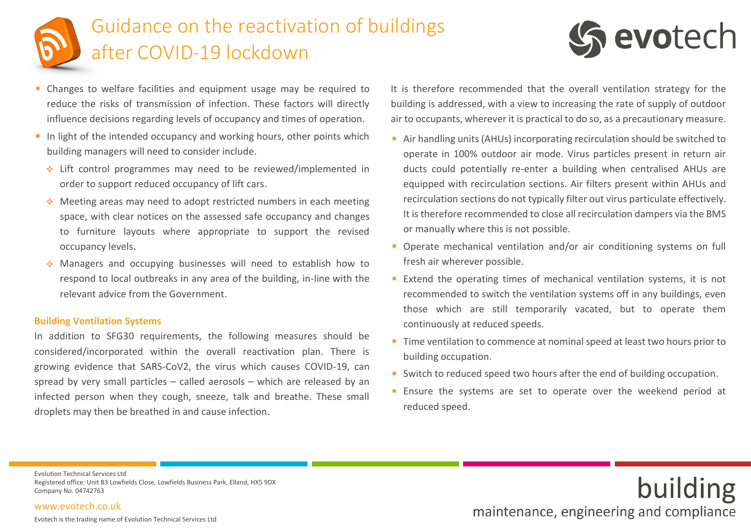



- **•** Changes to welfare facilities and equipment usage may be required to reduce the risks of transmission of infection. These factors will directly influence decisions regarding levels of occupancy and times of operation.
- **I** In light of the intended occupancy and working hours, other points which building managers will need to consider include.
	- $\leftrightarrow$  Lift control programmes may need to be reviewed/implemented in order to support reduced occupancy of lift cars.
	- $\triangle$  Meeting areas may need to adopt restricted numbers in each meeting space, with clear notices on the assessed safe occupancy and changes to furniture layouts where appropriate to support the revised occupancy levels.
	- $\triangle$  Managers and occupying businesses will need to establish how to respond to local outbreaks in any area of the building, in-line with the relevant advice from the Government.

### **Building Ventilation Systems**

In addition to SFG30 requirements, the following measures should be considered/incorporated within the overall reactivation plan. There is growing evidence that SARS-CoV2, the virus which causes COVID-19, can spread by very small particles – called aerosols – which are released by an infected person when they cough, sneeze, talk and breathe. These small droplets may then be breathed in and cause infection.

It is therefore recommended that the overall ventilation strategy for the building is addressed, with a view to increasing the rate of supply of outdoor air to occupants, wherever it is practical to do so, as a precautionary measure.

- Air handling units (AHUs) incorporating recirculation should be switched to operate in 100% outdoor air mode. Virus particles present in return air ducts could potentially re-enter a building when centralised AHUs are equipped with recirculation sections. Air filters present within AHUs and recirculation sections do not typically filter out virus particulate effectively. It is therefore recommended to close all recirculation dampers via the BMS or manually where this is not possible.
- Operate mechanical ventilation and/or air conditioning systems on full fresh air wherever possible.
- **Extend the operating times of mechanical ventilation systems, it is not** recommended to switch the ventilation systems off in any buildings, even those which are still temporarily vacated, but to operate them continuously at reduced speeds.
- Time ventilation to commence at nominal speed at least two hours prior to building occupation.
- Switch to reduced speed two hours after the end of building occupation.
- **Ensure the systems are set to operate over the weekend period at** reduced speed.

maintenance, engineering and compliance

Evolution Technical Services Ltd Registered office: Unit B3 Lowfields Close, Lowfields Business Park, Elland, HX5 9DX Company No. 04742763

#### [www.evotech.co.uk](http://www.evotech.co.uk/)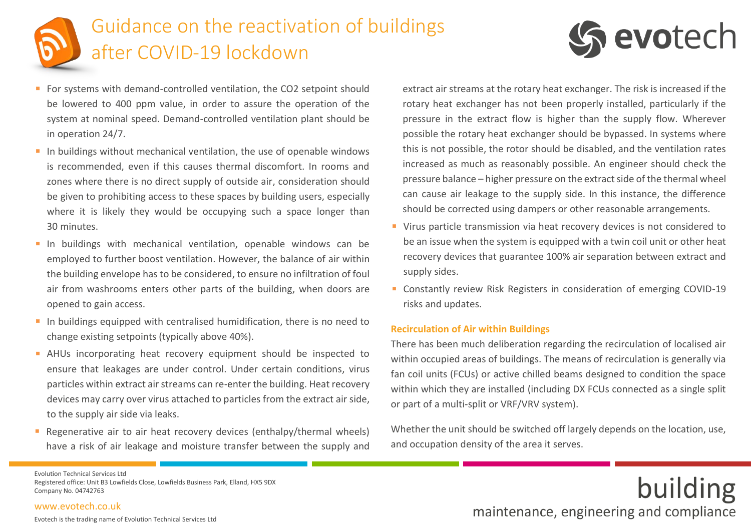



- For systems with demand-controlled ventilation, the CO2 setpoint should be lowered to 400 ppm value, in order to assure the operation of the system at nominal speed. Demand-controlled ventilation plant should be in operation 24/7.
- **I** In buildings without mechanical ventilation, the use of openable windows is recommended, even if this causes thermal discomfort. In rooms and zones where there is no direct supply of outside air, consideration should be given to prohibiting access to these spaces by building users, especially where it is likely they would be occupying such a space longer than 30 minutes.
- **·** In buildings with mechanical ventilation, openable windows can be employed to further boost ventilation. However, the balance of air within the building envelope has to be considered, to ensure no infiltration of foul air from washrooms enters other parts of the building, when doors are opened to gain access.
- In buildings equipped with centralised humidification, there is no need to change existing setpoints (typically above 40%).
- **E** AHUs incorporating heat recovery equipment should be inspected to ensure that leakages are under control. Under certain conditions, virus particles within extract air streams can re-enter the building. Heat recovery devices may carry over virus attached to particles from the extract air side, to the supply air side via leaks.
- Regenerative air to air heat recovery devices (enthalpy/thermal wheels) have a risk of air leakage and moisture transfer between the supply and

extract air streams at the rotary heat exchanger. The risk is increased if the rotary heat exchanger has not been properly installed, particularly if the pressure in the extract flow is higher than the supply flow. Wherever possible the rotary heat exchanger should be bypassed. In systems where this is not possible, the rotor should be disabled, and the ventilation rates increased as much as reasonably possible. An engineer should check the pressure balance – higher pressure on the extract side of the thermal wheel can cause air leakage to the supply side. In this instance, the difference should be corrected using dampers or other reasonable arrangements.

- Virus particle transmission via heat recovery devices is not considered to be an issue when the system is equipped with a twin coil unit or other heat recovery devices that guarantee 100% air separation between extract and supply sides.
- Constantly review Risk Registers in consideration of emerging COVID-19 risks and updates.

## **Recirculation of Air within Buildings**

There has been much deliberation regarding the recirculation of localised air within occupied areas of buildings. The means of recirculation is generally via fan coil units (FCUs) or active chilled beams designed to condition the space within which they are installed (including DX FCUs connected as a single split or part of a multi-split or VRF/VRV system).

Whether the unit should be switched off largely depends on the location, use, and occupation density of the area it serves.

maintenance, engineering and compliance

Evolution Technical Services Ltd Registered office: Unit B3 Lowfields Close, Lowfields Business Park, Elland, HX5 9DX Company No. 04742763

#### [www.evotech.co.uk](http://www.evotech.co.uk/)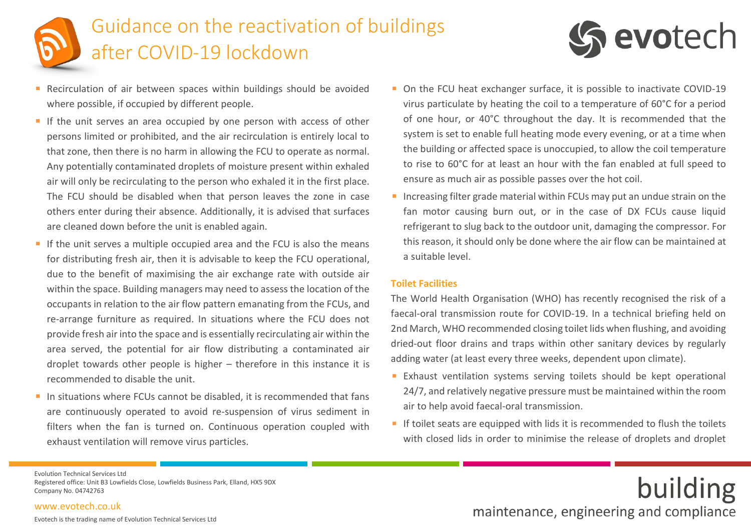



- **E** Recirculation of air between spaces within buildings should be avoided where possible, if occupied by different people.
- **If the unit serves an area occupied by one person with access of other** persons limited or prohibited, and the air recirculation is entirely local to that zone, then there is no harm in allowing the FCU to operate as normal. Any potentially contaminated droplets of moisture present within exhaled air will only be recirculating to the person who exhaled it in the first place. The FCU should be disabled when that person leaves the zone in case others enter during their absence. Additionally, it is advised that surfaces are cleaned down before the unit is enabled again.
- **E** If the unit serves a multiple occupied area and the FCU is also the means for distributing fresh air, then it is advisable to keep the FCU operational, due to the benefit of maximising the air exchange rate with outside air within the space. Building managers may need to assess the location of the occupants in relation to the air flow pattern emanating from the FCUs, and re-arrange furniture as required. In situations where the FCU does not provide fresh air into the space and is essentially recirculating air within the area served, the potential for air flow distributing a contaminated air droplet towards other people is higher – therefore in this instance it is recommended to disable the unit.
- In situations where FCUs cannot be disabled, it is recommended that fans are continuously operated to avoid re-suspension of virus sediment in filters when the fan is turned on. Continuous operation coupled with exhaust ventilation will remove virus particles.
- On the FCU heat exchanger surface, it is possible to inactivate COVID-19 virus particulate by heating the coil to a temperature of 60°C for a period of one hour, or 40°C throughout the day. It is recommended that the system is set to enable full heating mode every evening, or at a time when the building or affected space is unoccupied, to allow the coil temperature to rise to 60°C for at least an hour with the fan enabled at full speed to ensure as much air as possible passes over the hot coil.
- Increasing filter grade material within FCUs may put an undue strain on the fan motor causing burn out, or in the case of DX FCUs cause liquid refrigerant to slug back to the outdoor unit, damaging the compressor. For this reason, it should only be done where the air flow can be maintained at a suitable level.

### **Toilet Facilities**

The World Health Organisation (WHO) has recently recognised the risk of a faecal-oral transmission route for COVID-19. In a technical briefing held on 2nd March, WHO recommended closing toilet lids when flushing, and avoiding dried-out floor drains and traps within other sanitary devices by regularly adding water (at least every three weeks, dependent upon climate).

- **Exhaust ventilation systems serving toilets should be kept operational** 24/7, and relatively negative pressure must be maintained within the room air to help avoid faecal-oral transmission.
- If toilet seats are equipped with lids it is recommended to flush the toilets with closed lids in order to minimise the release of droplets and droplet

# building maintenance, engineering and compliance

Evolution Technical Services Ltd Registered office: Unit B3 Lowfields Close, Lowfields Business Park, Elland, HX5 9DX Company No. 04742763

#### [www.evotech.co.uk](http://www.evotech.co.uk/)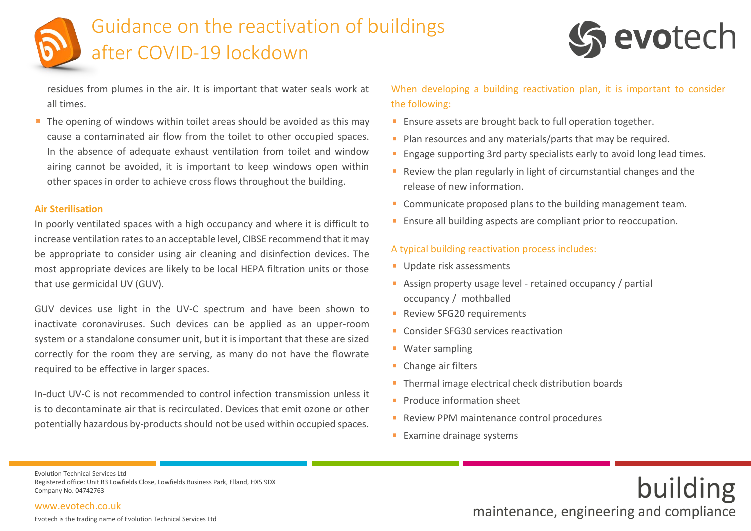



maintenance, engineering and compliance

residues from plumes in the air. It is important that water seals work at all times.

**•** The opening of windows within toilet areas should be avoided as this may cause a contaminated air flow from the toilet to other occupied spaces. In the absence of adequate exhaust ventilation from toilet and window airing cannot be avoided, it is important to keep windows open within other spaces in order to achieve cross flows throughout the building.

## **Air Sterilisation**

In poorly ventilated spaces with a high occupancy and where it is difficult to increase ventilation rates to an acceptable level, CIBSE recommend that it may be appropriate to consider using air cleaning and disinfection devices. The most appropriate devices are likely to be local HEPA filtration units or those that use germicidal UV (GUV).

GUV devices use light in the UV-C spectrum and have been shown to inactivate coronaviruses. Such devices can be applied as an upper-room system or a standalone consumer unit, but it is important that these are sized correctly for the room they are serving, as many do not have the flowrate required to be effective in larger spaces.

In-duct UV-C is not recommended to control infection transmission unless it is to decontaminate air that is recirculated. Devices that emit ozone or other potentially hazardous by-products should not be used within occupied spaces.

# When developing a building reactivation plan, it is important to consider the following:

- Ensure assets are brought back to full operation together.
- Plan resources and any materials/parts that may be required.
- **Engage supporting 3rd party specialists early to avoid long lead times.**
- Review the plan regularly in light of circumstantial changes and the release of new information.
- Communicate proposed plans to the building management team.
- **Ensure all building aspects are compliant prior to reoccupation.**

# A typical building reactivation process includes:

- Update risk assessments
- Assign property usage level retained occupancy / partial occupancy / mothballed
- Review SFG20 requirements
- Consider SEG30 services reactivation
- Water sampling
- Change air filters
- Thermal image electrical check distribution boards
- **Produce information sheet**
- Review PPM maintenance control procedures
- **Examine drainage systems**

Evolution Technical Services Ltd Registered office: Unit B3 Lowfields Close, Lowfields Business Park, Elland, HX5 9DX Company No. 04742763

#### [www.evotech.co.uk](http://www.evotech.co.uk/)